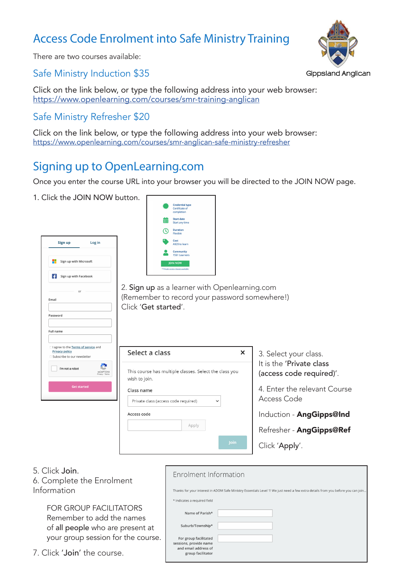### Access Code Enrolment into Safe Ministry Training



There are two courses available:

#### Safe Ministry Induction \$35

Click on the link below, or type the following address into your web browser: https://www.openlearning.com/courses/smr-training-anglican

#### Safe Ministry Refresher \$20

Click on the link below, or type the following address into your web browser: https://www.openlearning.com/courses/smr-anglican-safe-ministry-refresher

### Signing up to OpenLearning.com

Once you enter the course URL into your browser you will be directed to the JOIN NOW page.

1. Click the JOIN NOW button.

|           | Sign up                                                | Log in             |                              |
|-----------|--------------------------------------------------------|--------------------|------------------------------|
| - 1       | Sign up with Microsoft                                 |                    |                              |
|           | Sign up with Facebook                                  |                    |                              |
|           | or                                                     |                    |                              |
| Email     |                                                        |                    |                              |
|           |                                                        |                    |                              |
| Password  |                                                        |                    |                              |
|           |                                                        |                    |                              |
| Full name |                                                        |                    |                              |
|           |                                                        |                    |                              |
|           |                                                        |                    |                              |
|           | I agree to the Terms of service and                    |                    |                              |
|           | <b>Privacy policy</b><br>□ Subscribe to our newsletter |                    |                              |
|           | I'm not a robot                                        |                    | reCAPTCHA<br>Privacy - Terms |
|           |                                                        | <b>Get started</b> |                              |

|   | <b>Credential type</b><br>Certificate of<br>completion |
|---|--------------------------------------------------------|
| m | <b>Start date</b><br>Start any time                    |
|   | <b>Duration</b><br>Flexible                            |
|   | Cost<br>A\$20 to learn                                 |
|   | <b>Community</b><br>1561 Learners                      |
|   | <b>JOIN NOW</b><br>* Private access classes available  |

2. Sign up as a learner with Openlearning.com (Remember to record your password somewhere!) Click 'Get started'.

| Select a class                                                          |       |      |
|-------------------------------------------------------------------------|-------|------|
| This course has multiple classes. Select the class you<br>wish to join. |       |      |
| Class name<br>Private class (access code required)                      |       |      |
| Access code                                                             |       |      |
|                                                                         | Apply |      |
|                                                                         |       | loin |

 $\Gamma$  Enrolment Information

3. Select your class. It is the 'Private class (access code required)'.

4. Enter the relevant Course Access Code

Induction - AngGipps@Ind

Refresher - AngGipps@Ref

Click 'Apply'.

| 5. Click Join. |
|----------------|
|                |

6. Complete the Enrolment Information

> FOR GROUP FACILITATORS Remember to add the names of all people who are present at your group session for the course.

7. Click 'Join' the course.

| <u>LITEVILLE, LE TEILVI LITULIVI I</u>                                                                                           |  |  |  |  |
|----------------------------------------------------------------------------------------------------------------------------------|--|--|--|--|
| Thanks for your interest in ADOM Safe Ministry Essentials Level 1! We just need a few extra details from you before you can join |  |  |  |  |
| * Indicates a required field                                                                                                     |  |  |  |  |
| Name of Parish*                                                                                                                  |  |  |  |  |
| Suburb/Township*                                                                                                                 |  |  |  |  |
| For group facilitated<br>sessions, provide name<br>and email address of<br>group facilitator                                     |  |  |  |  |